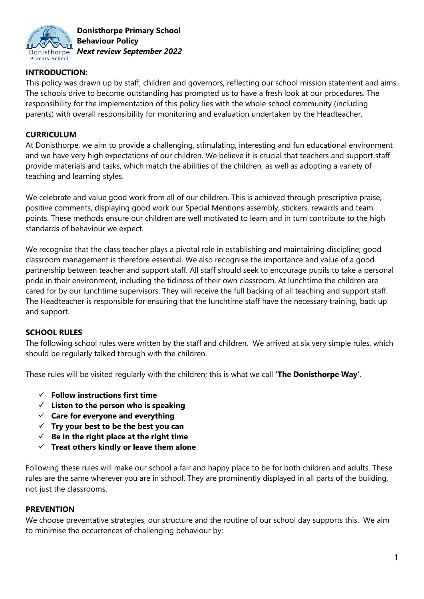

## **INTRODUCTION:**

This policy was drawn up by staff, children and governors, reflecting our school mission statement and aims. The schools drive to become outstanding has prompted us to have a fresh look at our procedures. The responsibility for the implementation of this policy lies with the whole school community (including parents) with overall responsibility for monitoring and evaluation undertaken by the Headteacher.

## **CURRICULUM**

At Donisthorpe, we aim to provide a challenging, stimulating, interesting and fun educational environment and we have very high expectations of our children. We believe it is crucial that teachers and support staff provide materials and tasks, which match the abilities of the children, as well as adopting a variety of teaching and learning styles.

We celebrate and value good work from all of our children. This is achieved through prescriptive praise, positive comments, displaying good work our Special Mentions assembly, stickers, rewards and team points. These methods ensure our children are well motivated to learn and in turn contribute to the high standards of behaviour we expect.

We recognise that the class teacher plays a pivotal role in establishing and maintaining discipline; good classroom management is therefore essential. We also recognise the importance and value of a good partnership between teacher and support staff. All staff should seek to encourage pupils to take a personal pride in their environment, including the tidiness of their own classroom. At lunchtime the children are cared for by our lunchtime supervisors. They will receive the full backing of all teaching and support staff. The Headteacher is responsible for ensuring that the lunchtime staff have the necessary training, back up and support.

# **SCHOOL RULES**

The following school rules were written by the staff and children. We arrived at six very simple rules, which should be regularly talked through with the children.

These rules will be visited regularly with the children; this is what we call **'The Donisthorpe Way'**.

- **Follow instructions first time**
- **Listen to the person who is speaking**
- **Care for everyone and everything**
- **Try your best to be the best you can**
- $\checkmark$  Be in the right place at the right time
- **Treat others kindly or leave them alone**

Following these rules will make our school a fair and happy place to be for both children and adults. These rules are the same wherever you are in school. They are prominently displayed in all parts of the building, not just the classrooms.

#### **PREVENTION**

We choose preventative strategies, our structure and the routine of our school day supports this. We aim to minimise the occurrences of challenging behaviour by: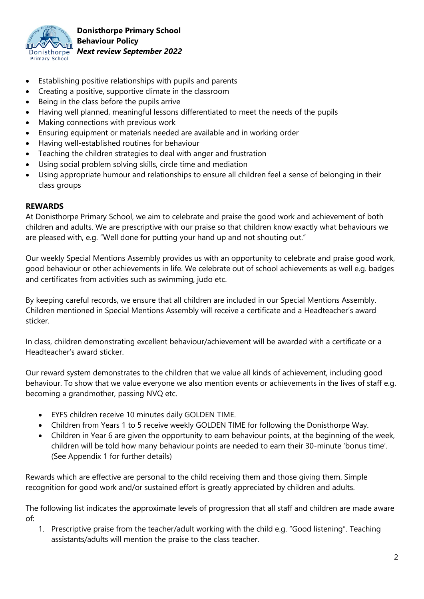

- Establishing positive relationships with pupils and parents
- Creating a positive, supportive climate in the classroom
- Being in the class before the pupils arrive
- Having well planned, meaningful lessons differentiated to meet the needs of the pupils
- Making connections with previous work
- Ensuring equipment or materials needed are available and in working order
- Having well-established routines for behaviour
- Teaching the children strategies to deal with anger and frustration
- Using social problem solving skills, circle time and mediation
- Using appropriate humour and relationships to ensure all children feel a sense of belonging in their class groups

#### **REWARDS**

At Donisthorpe Primary School, we aim to celebrate and praise the good work and achievement of both children and adults. We are prescriptive with our praise so that children know exactly what behaviours we are pleased with, e.g. "Well done for putting your hand up and not shouting out."

Our weekly Special Mentions Assembly provides us with an opportunity to celebrate and praise good work, good behaviour or other achievements in life. We celebrate out of school achievements as well e.g. badges and certificates from activities such as swimming, judo etc.

By keeping careful records, we ensure that all children are included in our Special Mentions Assembly. Children mentioned in Special Mentions Assembly will receive a certificate and a Headteacher's award sticker.

In class, children demonstrating excellent behaviour/achievement will be awarded with a certificate or a Headteacher's award sticker.

Our reward system demonstrates to the children that we value all kinds of achievement, including good behaviour. To show that we value everyone we also mention events or achievements in the lives of staff e.g. becoming a grandmother, passing NVQ etc.

- EYFS children receive 10 minutes daily GOLDEN TIME.
- Children from Years 1 to 5 receive weekly GOLDEN TIME for following the Donisthorpe Way.
- Children in Year 6 are given the opportunity to earn behaviour points, at the beginning of the week, children will be told how many behaviour points are needed to earn their 30-minute 'bonus time'. (See Appendix 1 for further details)

Rewards which are effective are personal to the child receiving them and those giving them. Simple recognition for good work and/or sustained effort is greatly appreciated by children and adults.

The following list indicates the approximate levels of progression that all staff and children are made aware of:

1. Prescriptive praise from the teacher/adult working with the child e.g. "Good listening". Teaching assistants/adults will mention the praise to the class teacher.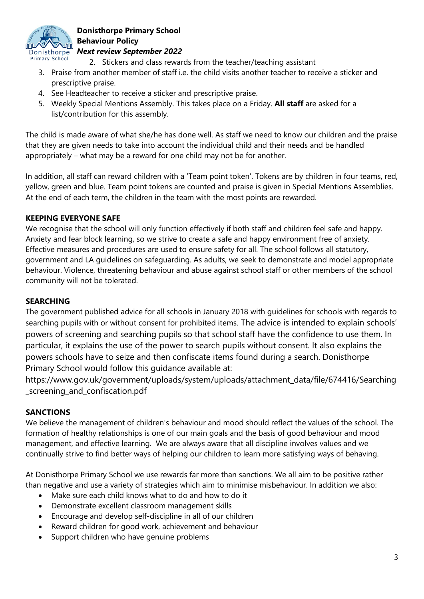

- 2. Stickers and class rewards from the teacher/teaching assistant
- 3. Praise from another member of staff i.e. the child visits another teacher to receive a sticker and prescriptive praise.
- 4. See Headteacher to receive a sticker and prescriptive praise.
- 5. Weekly Special Mentions Assembly. This takes place on a Friday. **All staff** are asked for a list/contribution for this assembly.

The child is made aware of what she/he has done well. As staff we need to know our children and the praise that they are given needs to take into account the individual child and their needs and be handled appropriately – what may be a reward for one child may not be for another.

In addition, all staff can reward children with a 'Team point token'. Tokens are by children in four teams, red, yellow, green and blue. Team point tokens are counted and praise is given in Special Mentions Assemblies. At the end of each term, the children in the team with the most points are rewarded.

# **KEEPING EVERYONE SAFE**

We recognise that the school will only function effectively if both staff and children feel safe and happy. Anxiety and fear block learning, so we strive to create a safe and happy environment free of anxiety. Effective measures and procedures are used to ensure safety for all. The school follows all statutory, government and LA guidelines on safeguarding. As adults, we seek to demonstrate and model appropriate behaviour. Violence, threatening behaviour and abuse against school staff or other members of the school community will not be tolerated.

#### **SEARCHING**

The government published advice for all schools in January 2018 with guidelines for schools with regards to searching pupils with or without consent for prohibited items. The advice is intended to explain schools' powers of screening and searching pupils so that school staff have the confidence to use them. In particular, it explains the use of the power to search pupils without consent. It also explains the powers schools have to seize and then confiscate items found during a search. Donisthorpe Primary School would follow this guidance available at:

https://www.gov.uk/government/uploads/system/uploads/attachment\_data/file/674416/Searching \_screening\_and\_confiscation.pdf

#### **SANCTIONS**

We believe the management of children's behaviour and mood should reflect the values of the school. The formation of healthy relationships is one of our main goals and the basis of good behaviour and mood management, and effective learning. We are always aware that all discipline involves values and we continually strive to find better ways of helping our children to learn more satisfying ways of behaving.

At Donisthorpe Primary School we use rewards far more than sanctions. We all aim to be positive rather than negative and use a variety of strategies which aim to minimise misbehaviour. In addition we also:

- Make sure each child knows what to do and how to do it
- Demonstrate excellent classroom management skills
- Encourage and develop self-discipline in all of our children
- Reward children for good work, achievement and behaviour
- Support children who have genuine problems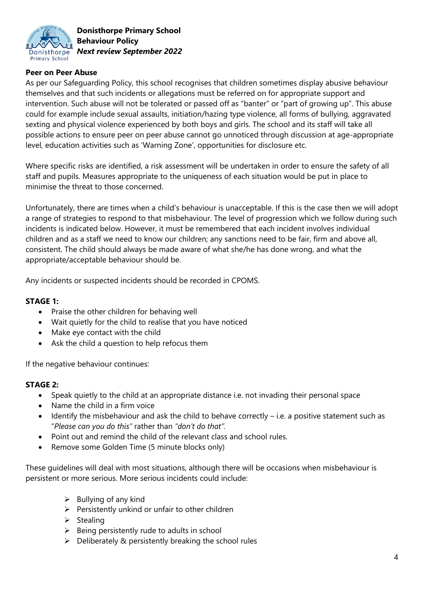

## **Peer on Peer Abuse**

As per our Safeguarding Policy, this school recognises that children sometimes display abusive behaviour themselves and that such incidents or allegations must be referred on for appropriate support and intervention. Such abuse will not be tolerated or passed off as "banter" or "part of growing up". This abuse could for example include sexual assaults, initiation/hazing type violence, all forms of bullying, aggravated sexting and physical violence experienced by both boys and girls. The school and its staff will take all possible actions to ensure peer on peer abuse cannot go unnoticed through discussion at age-appropriate level, education activities such as 'Warning Zone', opportunities for disclosure etc.

Where specific risks are identified, a risk assessment will be undertaken in order to ensure the safety of all staff and pupils. Measures appropriate to the uniqueness of each situation would be put in place to minimise the threat to those concerned.

Unfortunately, there are times when a child's behaviour is unacceptable. If this is the case then we will adopt a range of strategies to respond to that misbehaviour. The level of progression which we follow during such incidents is indicated below. However, it must be remembered that each incident involves individual children and as a staff we need to know our children; any sanctions need to be fair, firm and above all, consistent. The child should always be made aware of what she/he has done wrong, and what the appropriate/acceptable behaviour should be.

Any incidents or suspected incidents should be recorded in CPOMS.

#### **STAGE 1:**

- Praise the other children for behaving well
- Wait quietly for the child to realise that you have noticed
- Make eye contact with the child
- Ask the child a question to help refocus them

If the negative behaviour continues:

#### **STAGE 2:**

- Speak quietly to the child at an appropriate distance i.e. not invading their personal space
- Name the child in a firm voice
- $\bullet$  Identify the misbehaviour and ask the child to behave correctly i.e. a positive statement such as "*Please can you do this"* rather than *"don't do that".*
- Point out and remind the child of the relevant class and school rules.
	- Remove some Golden Time (5 minute blocks only)

These guidelines will deal with most situations, although there will be occasions when misbehaviour is persistent or more serious. More serious incidents could include:

- $\triangleright$  Bullying of any kind
- $\triangleright$  Persistently unkind or unfair to other children
- $\triangleright$  Stealing
- $\triangleright$  Being persistently rude to adults in school
- $\triangleright$  Deliberately & persistently breaking the school rules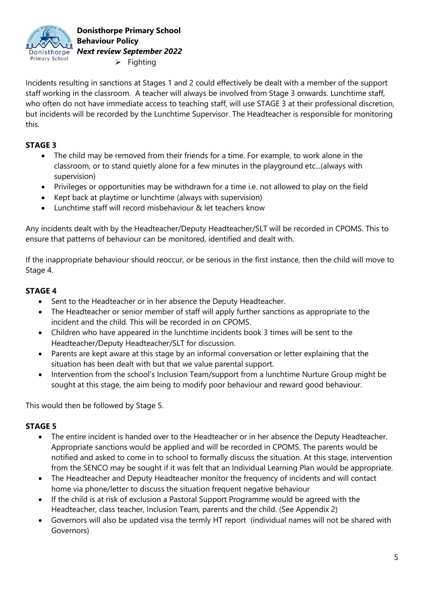

**Donisthorpe Primary School Behaviour Policy** *Next review September 2022*  $\triangleright$  Fighting

Incidents resulting in sanctions at Stages 1 and 2 could effectively be dealt with a member of the support staff working in the classroom. A teacher will always be involved from Stage 3 onwards. Lunchtime staff, who often do not have immediate access to teaching staff, will use STAGE 3 at their professional discretion, but incidents will be recorded by the Lunchtime Supervisor. The Headteacher is responsible for monitoring this.

# **STAGE 3**

- The child may be removed from their friends for a time. For example, to work alone in the classroom, or to stand quietly alone for a few minutes in the playground etc...(always with supervision)
- Privileges or opportunities may be withdrawn for a time i.e. not allowed to play on the field
- Kept back at playtime or lunchtime (always with supervision)
- Lunchtime staff will record misbehaviour & let teachers know

Any incidents dealt with by the Headteacher/Deputy Headteacher/SLT will be recorded in CPOMS. This to ensure that patterns of behaviour can be monitored, identified and dealt with.

If the inappropriate behaviour should reoccur, or be serious in the first instance, then the child will move to Stage 4.

## **STAGE 4**

- Sent to the Headteacher or in her absence the Deputy Headteacher.
- The Headteacher or senior member of staff will apply further sanctions as appropriate to the incident and the child. This will be recorded in on CPOMS.
- Children who have appeared in the lunchtime incidents book 3 times will be sent to the Headteacher/Deputy Headteacher/SLT for discussion.
- Parents are kept aware at this stage by an informal conversation or letter explaining that the situation has been dealt with but that we value parental support.
- Intervention from the school's Inclusion Team/support from a lunchtime Nurture Group might be sought at this stage, the aim being to modify poor behaviour and reward good behaviour.

This would then be followed by Stage 5.

# **STAGE 5**

- The entire incident is handed over to the Headteacher or in her absence the Deputy Headteacher. Appropriate sanctions would be applied and will be recorded in CPOMS. The parents would be notified and asked to come in to school to formally discuss the situation. At this stage, intervention from the SENCO may be sought if it was felt that an Individual Learning Plan would be appropriate.
- The Headteacher and Deputy Headteacher monitor the frequency of incidents and will contact home via phone/letter to discuss the situation frequent negative behaviour
- If the child is at risk of exclusion a Pastoral Support Programme would be agreed with the Headteacher, class teacher, Inclusion Team, parents and the child. (See Appendix 2)
- Governors will also be updated visa the termly HT report (individual names will not be shared with Governors)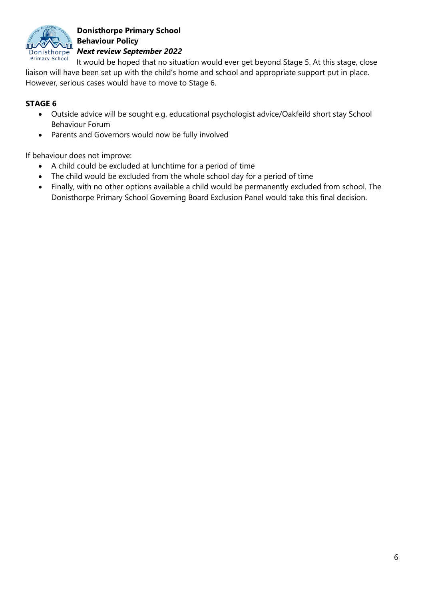

It would be hoped that no situation would ever get beyond Stage 5. At this stage, close liaison will have been set up with the child's home and school and appropriate support put in place. However, serious cases would have to move to Stage 6.

# **STAGE 6**

- Outside advice will be sought e.g. educational psychologist advice/Oakfeild short stay School Behaviour Forum
- Parents and Governors would now be fully involved

If behaviour does not improve:

- A child could be excluded at lunchtime for a period of time
- The child would be excluded from the whole school day for a period of time
- Finally, with no other options available a child would be permanently excluded from school. The Donisthorpe Primary School Governing Board Exclusion Panel would take this final decision.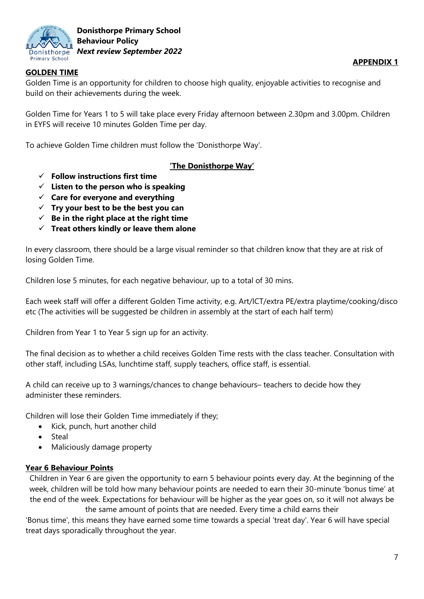

## **GOLDEN TIME**

Golden Time is an opportunity for children to choose high quality, enjoyable activities to recognise and build on their achievements during the week.

Golden Time for Years 1 to 5 will take place every Friday afternoon between 2.30pm and 3.00pm. Children in EYFS will receive 10 minutes Golden Time per day.

To achieve Golden Time children must follow the 'Donisthorpe Way'.

## **'The Donisthorpe Way'**

- **Follow instructions first time**
- **Listen to the person who is speaking**
- **Care for everyone and everything**
- **Try your best to be the best you can**
- $\checkmark$  Be in the right place at the right time
- **Treat others kindly or leave them alone**

In every classroom, there should be a large visual reminder so that children know that they are at risk of losing Golden Time.

Children lose 5 minutes, for each negative behaviour, up to a total of 30 mins.

Each week staff will offer a different Golden Time activity, e.g. Art/ICT/extra PE/extra playtime/cooking/disco etc (The activities will be suggested be children in assembly at the start of each half term)

Children from Year 1 to Year 5 sign up for an activity.

The final decision as to whether a child receives Golden Time rests with the class teacher. Consultation with other staff, including LSAs, lunchtime staff, supply teachers, office staff, is essential.

A child can receive up to 3 warnings/chances to change behaviours– teachers to decide how they administer these reminders.

Children will lose their Golden Time immediately if they;

- Kick, punch, hurt another child
- Steal
- Maliciously damage property

#### **Year 6 Behaviour Points**

Children in Year 6 are given the opportunity to earn 5 behaviour points every day. At the beginning of the week, children will be told how many behaviour points are needed to earn their 30-minute 'bonus time' at the end of the week. Expectations for behaviour will be higher as the year goes on, so it will not always be the same amount of points that are needed. Every time a child earns their

'Bonus time', this means they have earned some time towards a special 'treat day'. Year 6 will have special treat days sporadically throughout the year.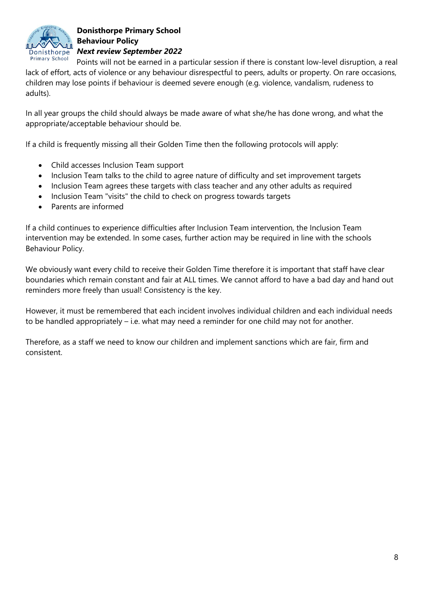

Points will not be earned in a particular session if there is constant low-level disruption, a real lack of effort, acts of violence or any behaviour disrespectful to peers, adults or property. On rare occasions, children may lose points if behaviour is deemed severe enough (e.g. violence, vandalism, rudeness to adults).

In all year groups the child should always be made aware of what she/he has done wrong, and what the appropriate/acceptable behaviour should be.

If a child is frequently missing all their Golden Time then the following protocols will apply:

- Child accesses Inclusion Team support
- Inclusion Team talks to the child to agree nature of difficulty and set improvement targets
- Inclusion Team agrees these targets with class teacher and any other adults as required
- Inclusion Team "visits" the child to check on progress towards targets
- Parents are informed

If a child continues to experience difficulties after Inclusion Team intervention, the Inclusion Team intervention may be extended. In some cases, further action may be required in line with the schools Behaviour Policy.

We obviously want every child to receive their Golden Time therefore it is important that staff have clear boundaries which remain constant and fair at ALL times. We cannot afford to have a bad day and hand out reminders more freely than usual! Consistency is the key.

However, it must be remembered that each incident involves individual children and each individual needs to be handled appropriately – i.e. what may need a reminder for one child may not for another.

Therefore, as a staff we need to know our children and implement sanctions which are fair, firm and consistent.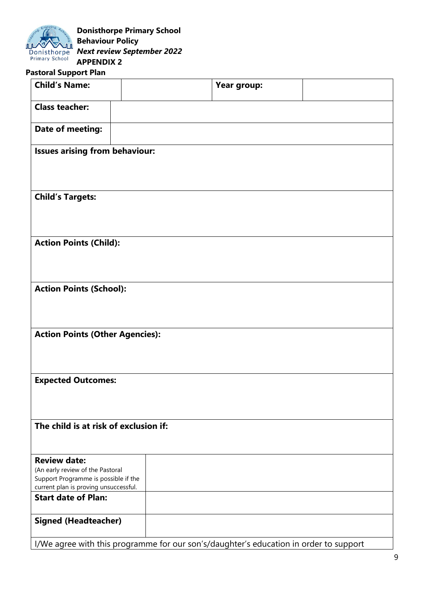

## **Pastoral Support Plan**

| <b>Child's Name:</b>                                                                  |  | Year group: |  |  |
|---------------------------------------------------------------------------------------|--|-------------|--|--|
| <b>Class teacher:</b>                                                                 |  |             |  |  |
| Date of meeting:                                                                      |  |             |  |  |
| <b>Issues arising from behaviour:</b>                                                 |  |             |  |  |
|                                                                                       |  |             |  |  |
| <b>Child's Targets:</b>                                                               |  |             |  |  |
|                                                                                       |  |             |  |  |
| <b>Action Points (Child):</b>                                                         |  |             |  |  |
|                                                                                       |  |             |  |  |
| <b>Action Points (School):</b>                                                        |  |             |  |  |
|                                                                                       |  |             |  |  |
| <b>Action Points (Other Agencies):</b>                                                |  |             |  |  |
|                                                                                       |  |             |  |  |
| <b>Expected Outcomes:</b>                                                             |  |             |  |  |
|                                                                                       |  |             |  |  |
| The child is at risk of exclusion if:                                                 |  |             |  |  |
|                                                                                       |  |             |  |  |
| <b>Review date:</b>                                                                   |  |             |  |  |
| (An early review of the Pastoral<br>Support Programme is possible if the              |  |             |  |  |
| current plan is proving unsuccessful.                                                 |  |             |  |  |
| <b>Start date of Plan:</b>                                                            |  |             |  |  |
| <b>Signed (Headteacher)</b>                                                           |  |             |  |  |
| I/We agree with this programme for our son's/daughter's education in order to support |  |             |  |  |